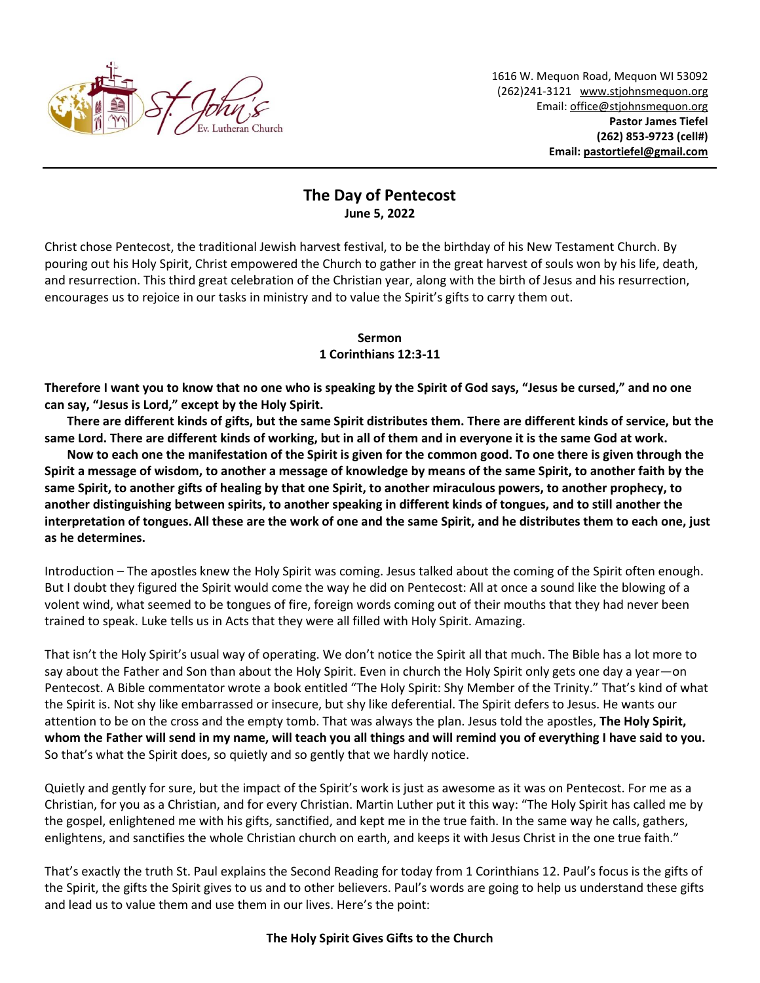

## **The Day of Pentecost June 5, 2022**

Christ chose Pentecost, the traditional Jewish harvest festival, to be the birthday of his New Testament Church. By pouring out his Holy Spirit, Christ empowered the Church to gather in the great harvest of souls won by his life, death, and resurrection. This third great celebration of the Christian year, along with the birth of Jesus and his resurrection, encourages us to rejoice in our tasks in ministry and to value the Spirit's gifts to carry them out.

## **Sermon**

## **1 Corinthians 12:3-11**

**Therefore I want you to know that no one who is speaking by the Spirit of God says, "Jesus be cursed," and no one can say, "Jesus is Lord," except by the Holy Spirit.** 

**There are different kinds of gifts, but the same Spirit distributes them. There are different kinds of service, but the same Lord. There are different kinds of working, but in all of them and in everyone it is the same God at work.** 

**Now to each one the manifestation of the Spirit is given for the common good. To one there is given through the Spirit a message of wisdom, to another a message of knowledge by means of the same Spirit, to another faith by the same Spirit, to another gifts of healing by that one Spirit, to another miraculous powers, to another prophecy, to another distinguishing between spirits, to another speaking in different kinds of tongues, and to still another the interpretation of tongues.All these are the work of one and the same Spirit, and he distributes them to each one, just as he determines.**

Introduction – The apostles knew the Holy Spirit was coming. Jesus talked about the coming of the Spirit often enough. But I doubt they figured the Spirit would come the way he did on Pentecost: All at once a sound like the blowing of a volent wind, what seemed to be tongues of fire, foreign words coming out of their mouths that they had never been trained to speak. Luke tells us in Acts that they were all filled with Holy Spirit. Amazing.

That isn't the Holy Spirit's usual way of operating. We don't notice the Spirit all that much. The Bible has a lot more to say about the Father and Son than about the Holy Spirit. Even in church the Holy Spirit only gets one day a year—on Pentecost. A Bible commentator wrote a book entitled "The Holy Spirit: Shy Member of the Trinity." That's kind of what the Spirit is. Not shy like embarrassed or insecure, but shy like deferential. The Spirit defers to Jesus. He wants our attention to be on the cross and the empty tomb. That was always the plan. Jesus told the apostles, **The Holy Spirit, whom the Father will send in my name, will teach you all things and will remind you of everything I have said to you.** So that's what the Spirit does, so quietly and so gently that we hardly notice.

Quietly and gently for sure, but the impact of the Spirit's work is just as awesome as it was on Pentecost. For me as a Christian, for you as a Christian, and for every Christian. Martin Luther put it this way: "The Holy Spirit has called me by the gospel, enlightened me with his gifts, sanctified, and kept me in the true faith. In the same way he calls, gathers, enlightens, and sanctifies the whole Christian church on earth, and keeps it with Jesus Christ in the one true faith."

That's exactly the truth St. Paul explains the Second Reading for today from 1 Corinthians 12. Paul's focus is the gifts of the Spirit, the gifts the Spirit gives to us and to other believers. Paul's words are going to help us understand these gifts and lead us to value them and use them in our lives. Here's the point:

## **The Holy Spirit Gives Gifts to the Church**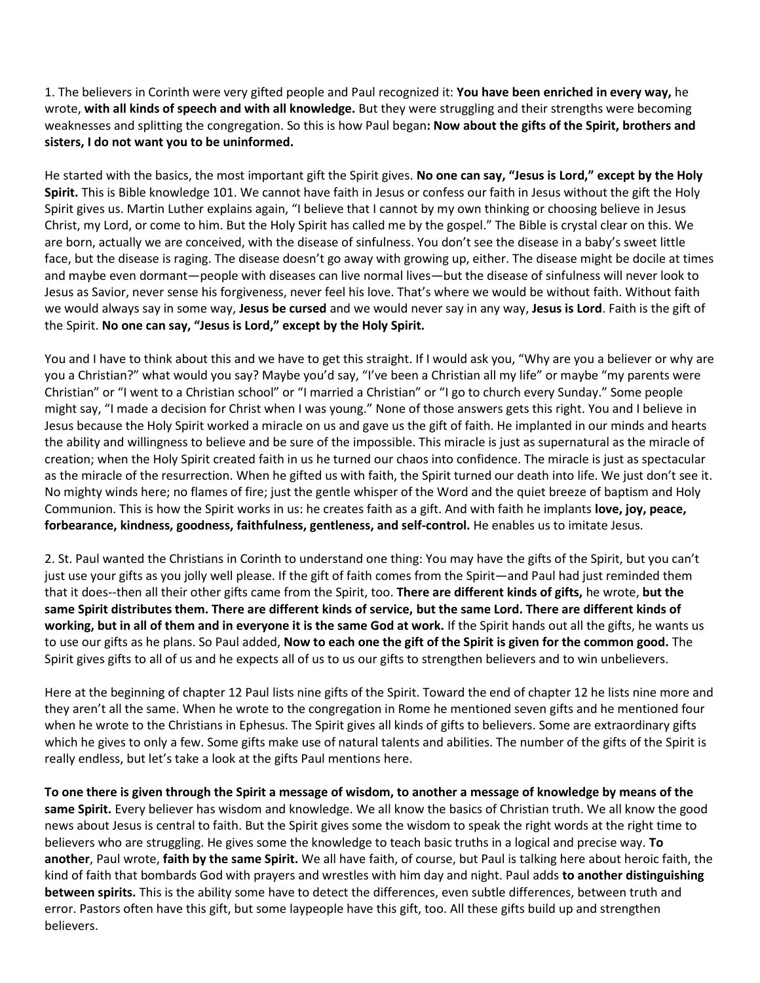1. The believers in Corinth were very gifted people and Paul recognized it: **You have been enriched in every way,** he wrote, **with all kinds of speech and with all knowledge.** But they were struggling and their strengths were becoming weaknesses and splitting the congregation. So this is how Paul began**: Now about the gifts of the Spirit, brothers and sisters, I do not want you to be uninformed.** 

He started with the basics, the most important gift the Spirit gives. **No one can say, "Jesus is Lord," except by the Holy Spirit.** This is Bible knowledge 101. We cannot have faith in Jesus or confess our faith in Jesus without the gift the Holy Spirit gives us. Martin Luther explains again, "I believe that I cannot by my own thinking or choosing believe in Jesus Christ, my Lord, or come to him. But the Holy Spirit has called me by the gospel." The Bible is crystal clear on this. We are born, actually we are conceived, with the disease of sinfulness. You don't see the disease in a baby's sweet little face, but the disease is raging. The disease doesn't go away with growing up, either. The disease might be docile at times and maybe even dormant—people with diseases can live normal lives—but the disease of sinfulness will never look to Jesus as Savior, never sense his forgiveness, never feel his love. That's where we would be without faith. Without faith we would always say in some way, **Jesus be cursed** and we would never say in any way, **Jesus is Lord**. Faith is the gift of the Spirit. **No one can say, "Jesus is Lord," except by the Holy Spirit.** 

You and I have to think about this and we have to get this straight. If I would ask you, "Why are you a believer or why are you a Christian?" what would you say? Maybe you'd say, "I've been a Christian all my life" or maybe "my parents were Christian" or "I went to a Christian school" or "I married a Christian" or "I go to church every Sunday." Some people might say, "I made a decision for Christ when I was young." None of those answers gets this right. You and I believe in Jesus because the Holy Spirit worked a miracle on us and gave us the gift of faith. He implanted in our minds and hearts the ability and willingness to believe and be sure of the impossible. This miracle is just as supernatural as the miracle of creation; when the Holy Spirit created faith in us he turned our chaos into confidence. The miracle is just as spectacular as the miracle of the resurrection. When he gifted us with faith, the Spirit turned our death into life. We just don't see it. No mighty winds here; no flames of fire; just the gentle whisper of the Word and the quiet breeze of baptism and Holy Communion. This is how the Spirit works in us: he creates faith as a gift. And with faith he implants **love, joy, peace, forbearance, kindness, goodness, faithfulness, gentleness, and self-control.** He enables us to imitate Jesus.

2. St. Paul wanted the Christians in Corinth to understand one thing: You may have the gifts of the Spirit, but you can't just use your gifts as you jolly well please. If the gift of faith comes from the Spirit—and Paul had just reminded them that it does--then all their other gifts came from the Spirit, too. **There are different kinds of gifts,** he wrote, **but the same Spirit distributes them. There are different kinds of service, but the same Lord. There are different kinds of working, but in all of them and in everyone it is the same God at work.** If the Spirit hands out all the gifts, he wants us to use our gifts as he plans. So Paul added, **Now to each one the gift of the Spirit is given for the common good.** The Spirit gives gifts to all of us and he expects all of us to us our gifts to strengthen believers and to win unbelievers.

Here at the beginning of chapter 12 Paul lists nine gifts of the Spirit. Toward the end of chapter 12 he lists nine more and they aren't all the same. When he wrote to the congregation in Rome he mentioned seven gifts and he mentioned four when he wrote to the Christians in Ephesus. The Spirit gives all kinds of gifts to believers. Some are extraordinary gifts which he gives to only a few. Some gifts make use of natural talents and abilities. The number of the gifts of the Spirit is really endless, but let's take a look at the gifts Paul mentions here.

**To one there is given through the Spirit a message of wisdom, to another a message of knowledge by means of the same Spirit.** Every believer has wisdom and knowledge. We all know the basics of Christian truth. We all know the good news about Jesus is central to faith. But the Spirit gives some the wisdom to speak the right words at the right time to believers who are struggling. He gives some the knowledge to teach basic truths in a logical and precise way. **To another**, Paul wrote, **faith by the same Spirit.** We all have faith, of course, but Paul is talking here about heroic faith, the kind of faith that bombards God with prayers and wrestles with him day and night. Paul adds **to another distinguishing between spirits.** This is the ability some have to detect the differences, even subtle differences, between truth and error. Pastors often have this gift, but some laypeople have this gift, too. All these gifts build up and strengthen believers.